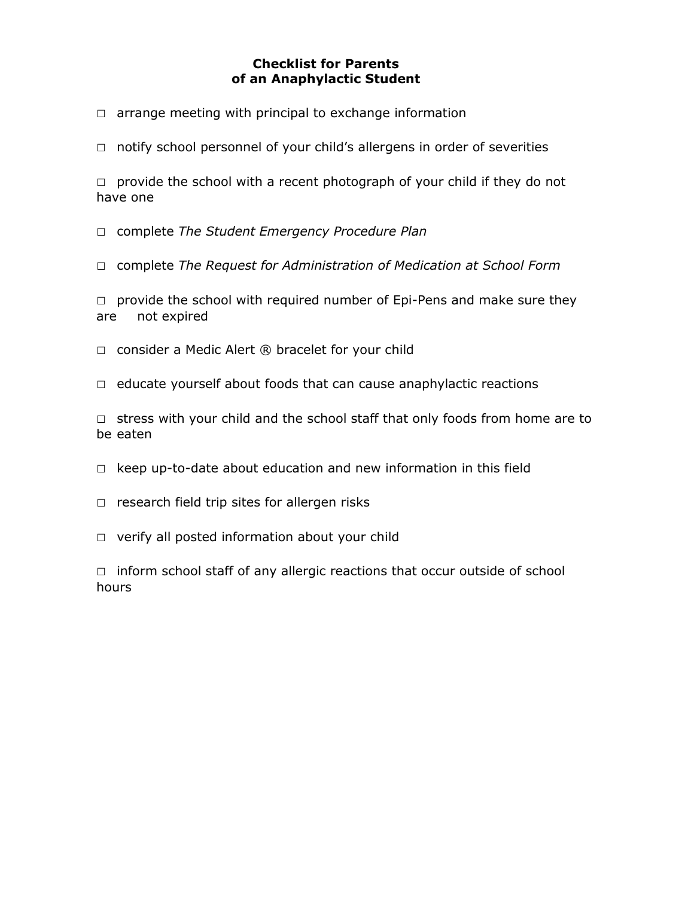## **Checklist for Parents of an Anaphylactic Student**

 $\Box$  arrange meeting with principal to exchange information

□ notify school personnel of your child's allergens in order of severities

 $\Box$  provide the school with a recent photograph of your child if they do not have one

□ complete *The Student Emergency Procedure Plan* 

□ complete *The Request for Administration of Medication at School Form*

 $\Box$  provide the school with required number of Epi-Pens and make sure they are not expired

- $\Box$  consider a Medic Alert  $\circledR$  bracelet for your child
- $\Box$  educate yourself about foods that can cause anaphylactic reactions

 $\Box$  stress with your child and the school staff that only foods from home are to be eaten

- $\Box$  keep up-to-date about education and new information in this field
- $\square$  research field trip sites for allergen risks
- □ verify all posted information about your child

 $\Box$  inform school staff of any allergic reactions that occur outside of school hours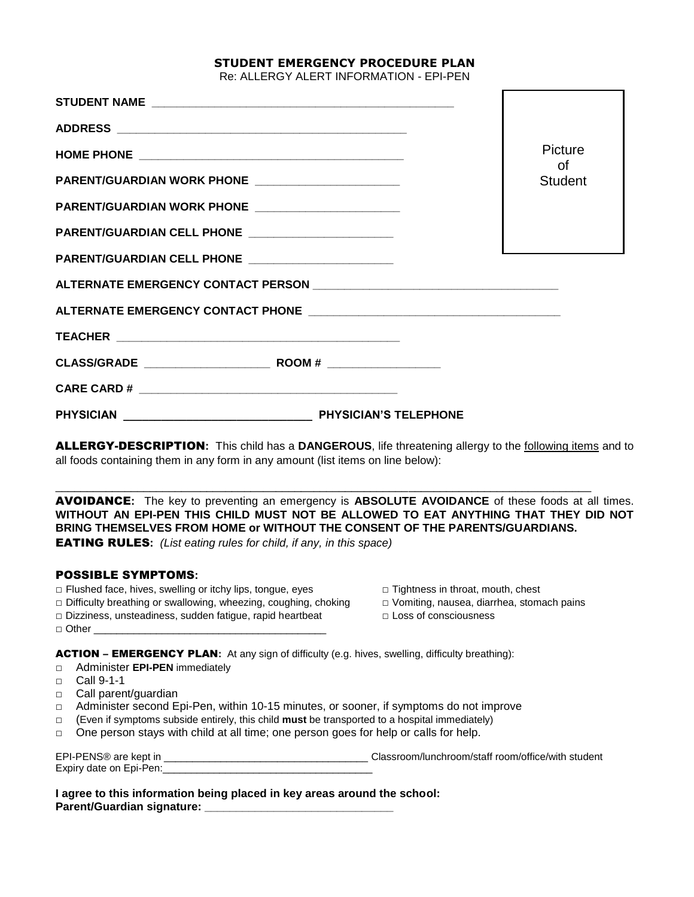### **STUDENT EMERGENCY PROCEDURE PLAN**

Re: ALLERGY ALERT INFORMATION - EPI-PEN

|                                                     |  | Picture<br>of  |
|-----------------------------------------------------|--|----------------|
| PARENT/GUARDIAN WORK PHONE ______________________   |  | <b>Student</b> |
| PARENT/GUARDIAN WORK PHONE ________________________ |  |                |
| PARENT/GUARDIAN CELL PHONE ____________________     |  |                |
| PARENT/GUARDIAN CELL PHONE _______________________  |  |                |
|                                                     |  |                |
|                                                     |  |                |
|                                                     |  |                |
|                                                     |  |                |
|                                                     |  |                |
|                                                     |  |                |

ALLERGY-DESCRIPTION**:** This child has a **DANGEROUS**, life threatening allergy to the following items and to all foods containing them in any form in any amount (list items on line below):

\_\_\_\_\_\_\_\_\_\_\_\_\_\_\_\_\_\_\_\_\_\_\_\_\_\_\_\_\_\_\_\_\_\_\_\_\_\_\_\_\_\_\_\_\_\_\_\_\_\_\_\_\_\_\_\_\_\_\_\_\_\_\_\_\_\_\_\_\_\_\_\_\_\_\_\_\_\_\_\_\_\_\_\_\_

AVOIDANCE**:** The key to preventing an emergency is **ABSOLUTE AVOIDANCE** of these foods at all times. **WITHOUT AN EPI-PEN THIS CHILD MUST NOT BE ALLOWED TO EAT ANYTHING THAT THEY DID NOT BRING THEMSELVES FROM HOME or WITHOUT THE CONSENT OF THE PARENTS/GUARDIANS.** EATING RULES**:** *(List eating rules for child, if any, in this space)*

#### POSSIBLE SYMPTOMS**:**

- □ Flushed face, hives, swelling or itchy lips, tongue, eyes □ Tightness in throat, mouth, chest
- □ Difficulty breathing or swallowing, wheezing, coughing, choking □ Vomiting, nausea, diarrhea, stomach pains
- □ Dizziness, unsteadiness, sudden fatigue, rapid heartbeat □ Loss of consciousness
- 
- -

ACTION – EMERGENCY PLAN**:** At any sign of difficulty (e.g. hives, swelling, difficulty breathing):

- □ Administer **EPI-PEN** immediately
- □ Call 9-1-1

 $\Box$  Other

- □ Call parent/quardian
- □ Administer second Epi-Pen, within 10-15 minutes, or sooner, if symptoms do not improve
- □ (Even if symptoms subside entirely, this child **must** be transported to a hospital immediately)
- □ One person stays with child at all time; one person goes for help or calls for help.

| EPI-PENS® are kept in   | Classroom/lunchroom/staff room/office/with student |  |
|-------------------------|----------------------------------------------------|--|
| Expiry date on Epi-Pen: |                                                    |  |

**I agree to this information being placed in key areas around the school: Parent/Guardian signature:**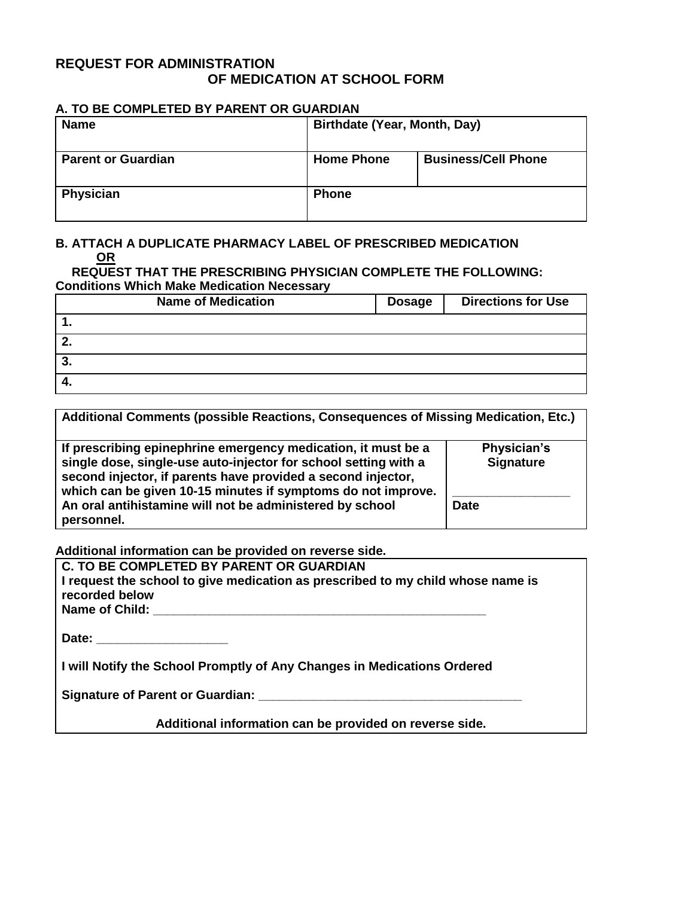# **REQUEST FOR ADMINISTRATION OF MEDICATION AT SCHOOL FORM**

### **A. TO BE COMPLETED BY PARENT OR GUARDIAN**

| <b>Name</b>               | Birthdate (Year, Month, Day) |                            |
|---------------------------|------------------------------|----------------------------|
| <b>Parent or Guardian</b> | <b>Home Phone</b>            | <b>Business/Cell Phone</b> |
| Physician                 | <b>Phone</b>                 |                            |

# **B. ATTACH A DUPLICATE PHARMACY LABEL OF PRESCRIBED MEDICATION OR**

**REQUEST THAT THE PRESCRIBING PHYSICIAN COMPLETE THE FOLLOWING: Conditions Which Make Medication Necessary** 

| <b>Name of Medication</b> | <b>Dosage</b> | <b>Directions for Use</b> |
|---------------------------|---------------|---------------------------|
|                           |               |                           |
| <u>.</u>                  |               |                           |
| J.                        |               |                           |
| т.                        |               |                           |

| Additional Comments (possible Reactions, Consequences of Missing Medication, Etc.)                                                                                                                                                                                                                                                         |                                                |
|--------------------------------------------------------------------------------------------------------------------------------------------------------------------------------------------------------------------------------------------------------------------------------------------------------------------------------------------|------------------------------------------------|
| If prescribing epinephrine emergency medication, it must be a<br>single dose, single-use auto-injector for school setting with a<br>second injector, if parents have provided a second injector,<br>which can be given 10-15 minutes if symptoms do not improve.<br>An oral antihistamine will not be administered by school<br>personnel. | Physician's<br><b>Signature</b><br><b>Date</b> |

**Additional information can be provided on reverse side.** 

| C. TO BE COMPLETED BY PARENT OR GUARDIAN                                        |
|---------------------------------------------------------------------------------|
| I request the school to give medication as prescribed to my child whose name is |
| recorded below                                                                  |
| Name of Child:                                                                  |
|                                                                                 |
| Date:                                                                           |

**I will Notify the School Promptly of Any Changes in Medications Ordered** 

| <b>Signature of Parent or Guardian:</b> |  |
|-----------------------------------------|--|
|                                         |  |

**Additional information can be provided on reverse side.**